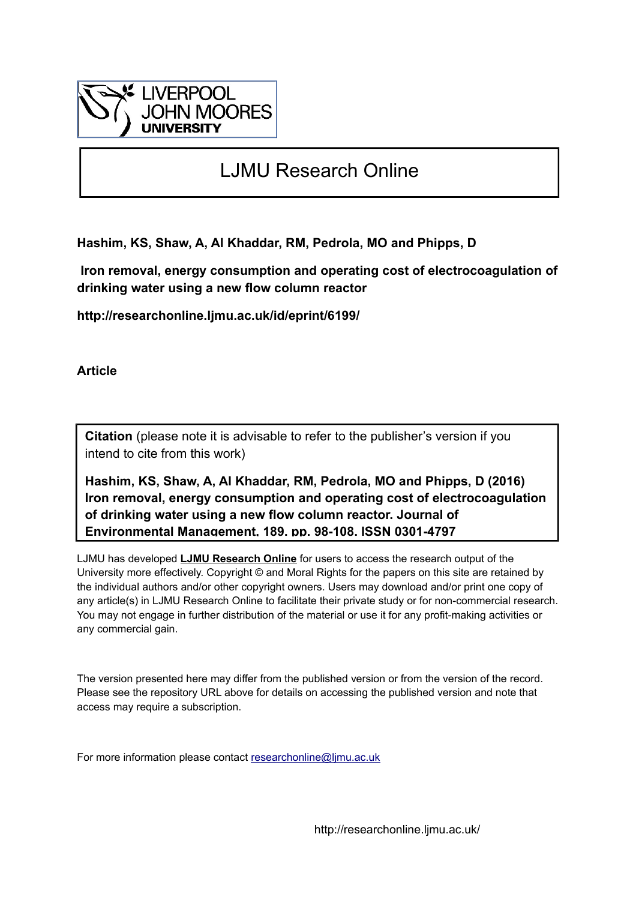

# LJMU Research Online

**Hashim, KS, Shaw, A, Al Khaddar, RM, Pedrola, MO and Phipps, D**

 **Iron removal, energy consumption and operating cost of electrocoagulation of drinking water using a new flow column reactor**

**http://researchonline.ljmu.ac.uk/id/eprint/6199/**

**Article**

**Citation** (please note it is advisable to refer to the publisher's version if you intend to cite from this work)

**Hashim, KS, Shaw, A, Al Khaddar, RM, Pedrola, MO and Phipps, D (2016) Iron removal, energy consumption and operating cost of electrocoagulation of drinking water using a new flow column reactor. Journal of Environmental Management, 189. pp. 98-108. ISSN 0301-4797** 

LJMU has developed **[LJMU Research Online](http://researchonline.ljmu.ac.uk/)** for users to access the research output of the University more effectively. Copyright © and Moral Rights for the papers on this site are retained by the individual authors and/or other copyright owners. Users may download and/or print one copy of any article(s) in LJMU Research Online to facilitate their private study or for non-commercial research. You may not engage in further distribution of the material or use it for any profit-making activities or any commercial gain.

The version presented here may differ from the published version or from the version of the record. Please see the repository URL above for details on accessing the published version and note that access may require a subscription.

For more information please contact [researchonline@ljmu.ac.uk](mailto:researchonline@ljmu.ac.uk)

http://researchonline.ljmu.ac.uk/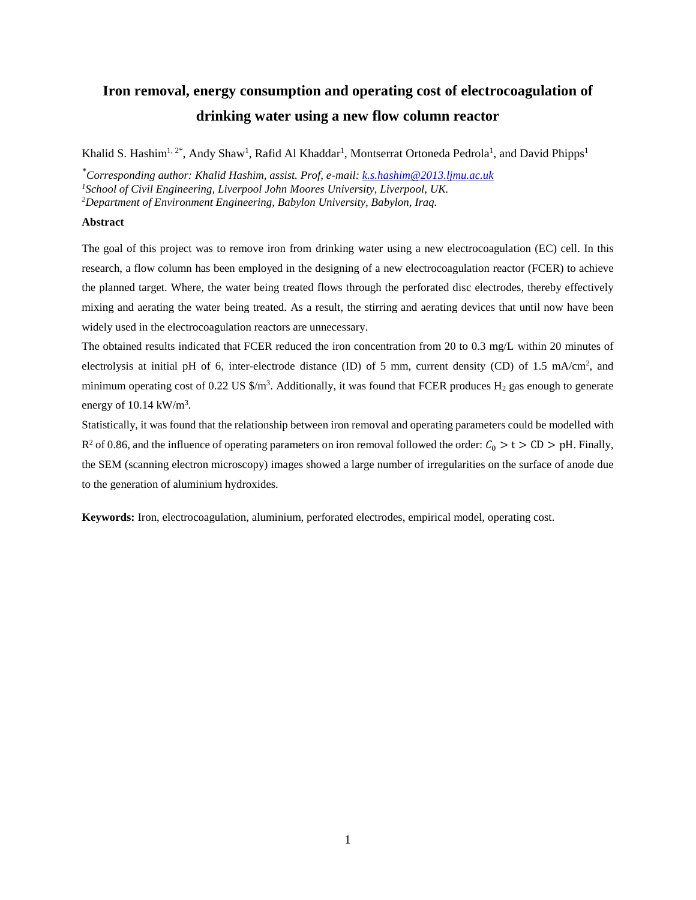# **Iron removal, energy consumption and operating cost of electrocoagulation of drinking water using a new flow column reactor**

Khalid S. Hashim<sup>1, 2\*</sup>, Andy Shaw<sup>1</sup>, Rafid Al Khaddar<sup>1</sup>, Montserrat Ortoneda Pedrola<sup>1</sup>, and David Phipps<sup>1</sup>

*\*Corresponding author: Khalid Hashim, assist. Prof, e-mail: [k.s.hashim@2013.ljmu.ac.uk](mailto:k.s.hashim@2013.ljmu.ac.uk) <sup>1</sup>School of Civil Engineering, Liverpool John Moores University, Liverpool, UK. <sup>2</sup>Department of Environment Engineering, Babylon University, Babylon, Iraq.*

# **Abstract**

The goal of this project was to remove iron from drinking water using a new electrocoagulation (EC) cell. In this research, a flow column has been employed in the designing of a new electrocoagulation reactor (FCER) to achieve the planned target. Where, the water being treated flows through the perforated disc electrodes, thereby effectively mixing and aerating the water being treated. As a result, the stirring and aerating devices that until now have been widely used in the electrocoagulation reactors are unnecessary.

The obtained results indicated that FCER reduced the iron concentration from 20 to 0.3 mg/L within 20 minutes of electrolysis at initial pH of 6, inter-electrode distance (ID) of 5 mm, current density (CD) of 1.5 mA/cm<sup>2</sup>, and minimum operating cost of 0.22 US  $\frac{m^3}{2}$ . Additionally, it was found that FCER produces H<sub>2</sub> gas enough to generate energy of  $10.14 \text{ kW/m}^3$ .

Statistically, it was found that the relationship between iron removal and operating parameters could be modelled with  $R^2$  of 0.86, and the influence of operating parameters on iron removal followed the order:  $C_0 > t > CD > pH$ . Finally, the SEM (scanning electron microscopy) images showed a large number of irregularities on the surface of anode due to the generation of aluminium hydroxides.

**Keywords:** Iron, electrocoagulation, aluminium, perforated electrodes, empirical model, operating cost.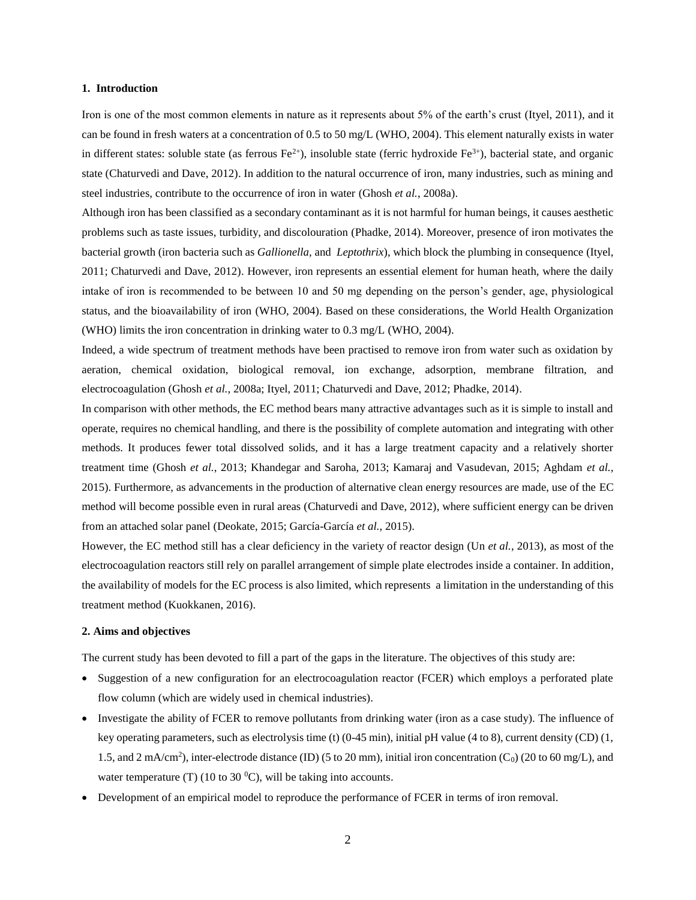# **1. Introduction**

Iron is one of the most common elements in nature as it represents about 5% of the earth's crust (Ityel, 2011), and it can be found in fresh waters at a concentration of 0.5 to 50 mg/L (WHO, 2004). This element naturally exists in water in different states: soluble state (as ferrous  $Fe^{2+}$ ), insoluble state (ferric hydroxide  $Fe^{3+}$ ), bacterial state, and organic state (Chaturvedi and Dave, 2012). In addition to the natural occurrence of iron, many industries, such as mining and steel industries, contribute to the occurrence of iron in water (Ghosh *et al.*, 2008a).

Although iron has been classified as a secondary contaminant as it is not harmful for human beings, it causes aesthetic problems such as taste issues, turbidity, and discolouration (Phadke, 2014). Moreover, presence of iron motivates the bacterial growth (iron bacteria such as *Gallionella,* and *Leptothrix*), which block the plumbing in consequence (Ityel, 2011; Chaturvedi and Dave, 2012). However, iron represents an essential element for human heath, where the daily intake of iron is recommended to be between 10 and 50 mg depending on the person's gender, age, physiological status, and the bioavailability of iron (WHO, 2004). Based on these considerations, the World Health Organization (WHO) limits the iron concentration in drinking water to 0.3 mg/L (WHO, 2004).

Indeed, a wide spectrum of treatment methods have been practised to remove iron from water such as oxidation by aeration, chemical oxidation, biological removal, ion exchange, adsorption, membrane filtration, and electrocoagulation (Ghosh *et al.*, 2008a; Ityel, 2011; Chaturvedi and Dave, 2012; Phadke, 2014).

In comparison with other methods, the EC method bears many attractive advantages such as it is simple to install and operate, requires no chemical handling, and there is the possibility of complete automation and integrating with other methods. It produces fewer total dissolved solids, and it has a large treatment capacity and a relatively shorter treatment time (Ghosh *et al.*, 2013; Khandegar and Saroha, 2013; Kamaraj and Vasudevan, 2015; Aghdam *et al.*, 2015). Furthermore, as advancements in the production of alternative clean energy resources are made, use of the EC method will become possible even in rural areas (Chaturvedi and Dave, 2012), where sufficient energy can be driven from an attached solar panel (Deokate, 2015; García-García *et al.*, 2015).

However, the EC method still has a clear deficiency in the variety of reactor design (Un *et al.*, 2013), as most of the electrocoagulation reactors still rely on parallel arrangement of simple plate electrodes inside a container. In addition, the availability of models for the EC process is also limited, which represents a limitation in the understanding of this treatment method (Kuokkanen, 2016).

# **2. Aims and objectives**

The current study has been devoted to fill a part of the gaps in the literature. The objectives of this study are:

- Suggestion of a new configuration for an electrocoagulation reactor (FCER) which employs a perforated plate flow column (which are widely used in chemical industries).
- Investigate the ability of FCER to remove pollutants from drinking water (iron as a case study). The influence of key operating parameters, such as electrolysis time (t)  $(0-45 \text{ min})$ , initial pH value (4 to 8), current density (CD) (1, 1.5, and 2 mA/cm<sup>2</sup>), inter-electrode distance (ID) (5 to 20 mm), initial iron concentration (C<sub>0</sub>) (20 to 60 mg/L), and water temperature (T) (10 to 30  $^{\circ}$ C), will be taking into accounts.
- Development of an empirical model to reproduce the performance of FCER in terms of iron removal.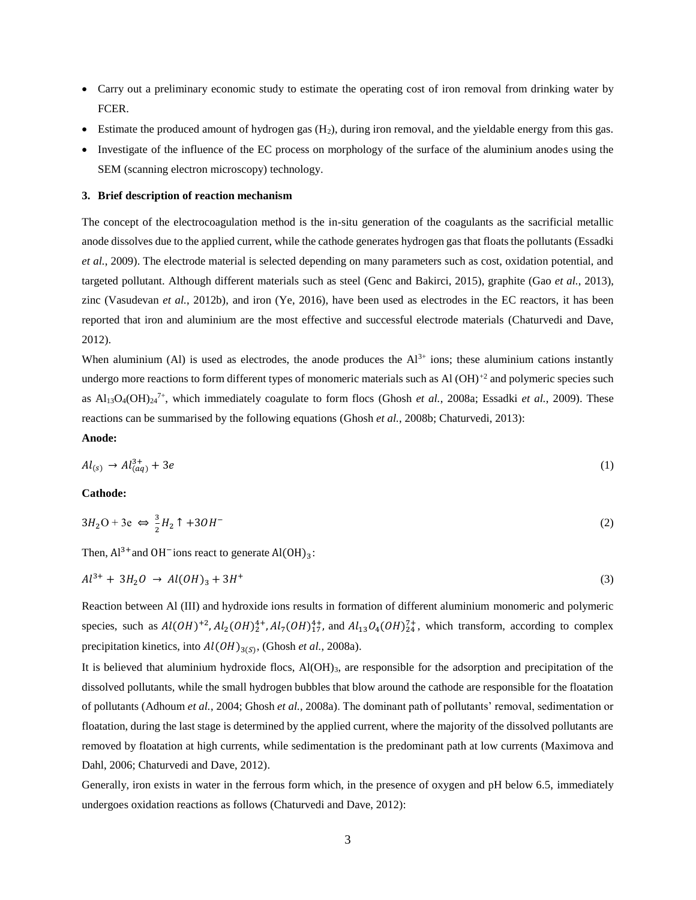- Carry out a preliminary economic study to estimate the operating cost of iron removal from drinking water by FCER.
- Estimate the produced amount of hydrogen gas  $(H_2)$ , during iron removal, and the yieldable energy from this gas.
- Investigate of the influence of the EC process on morphology of the surface of the aluminium anodes using the SEM (scanning electron microscopy) technology.

#### **3. Brief description of reaction mechanism**

The concept of the electrocoagulation method is the in-situ generation of the coagulants as the sacrificial metallic anode dissolves due to the applied current, while the cathode generates hydrogen gas that floats the pollutants (Essadki *et al.*, 2009). The electrode material is selected depending on many parameters such as cost, oxidation potential, and targeted pollutant. Although different materials such as steel (Genc and Bakirci, 2015), graphite (Gao *et al.*, 2013), zinc (Vasudevan *et al.*, 2012b), and iron (Ye, 2016), have been used as electrodes in the EC reactors, it has been reported that iron and aluminium are the most effective and successful electrode materials (Chaturvedi and Dave, 2012).

When aluminium (Al) is used as electrodes, the anode produces the  $Al^{3+}$  ions; these aluminium cations instantly undergo more reactions to form different types of monomeric materials such as Al (OH)<sup>+2</sup> and polymeric species such as Al<sub>13</sub>O<sub>4</sub>(OH)<sub>24</sub><sup>7+</sup>, which immediately coagulate to form flocs (Ghosh *et al.*, 2008a; Essadki *et al.*, 2009). These reactions can be summarised by the following equations (Ghosh *et al.*, 2008b; Chaturvedi, 2013):

# **Anode:**

$$
Al_{(s)} \to Al_{(aq)}^{3+} + 3e \tag{1}
$$

**Cathode:**

$$
3H_2O + 3e \Leftrightarrow \frac{3}{2}H_2 \uparrow + 3OH^- \tag{2}
$$

Then,  $Al^{3+}$  and OH<sup>-</sup>ions react to generate  $Al(OH)_3$ :

$$
Al^{3+} + 3H_2O \rightarrow Al(OH)_3 + 3H^+ \tag{3}
$$

Reaction between Al (III) and hydroxide ions results in formation of different aluminium monomeric and polymeric species, such as  $Al(OH)^{+2}$ ,  $Al_2(OH)^{4+}_{2}$ ,  $Al_7(OH)^{4+}_{17}$ , and  $Al_{13}O_4(OH)^{7+}_{24}$ , which transform, according to complex precipitation kinetics, into  $Al(OH)_{3(S)}$ , (Ghosh *et al.*, 2008a).

It is believed that aluminium hydroxide flocs,  $A(OH)_{3}$ , are responsible for the adsorption and precipitation of the dissolved pollutants, while the small hydrogen bubbles that blow around the cathode are responsible for the floatation of pollutants (Adhoum *et al.*, 2004; Ghosh *et al.*, 2008a). The dominant path of pollutants' removal, sedimentation or floatation, during the last stage is determined by the applied current, where the majority of the dissolved pollutants are removed by floatation at high currents, while sedimentation is the predominant path at low currents (Maximova and Dahl, 2006; Chaturvedi and Dave, 2012).

Generally, iron exists in water in the ferrous form which, in the presence of oxygen and pH below 6.5, immediately undergoes oxidation reactions as follows (Chaturvedi and Dave, 2012):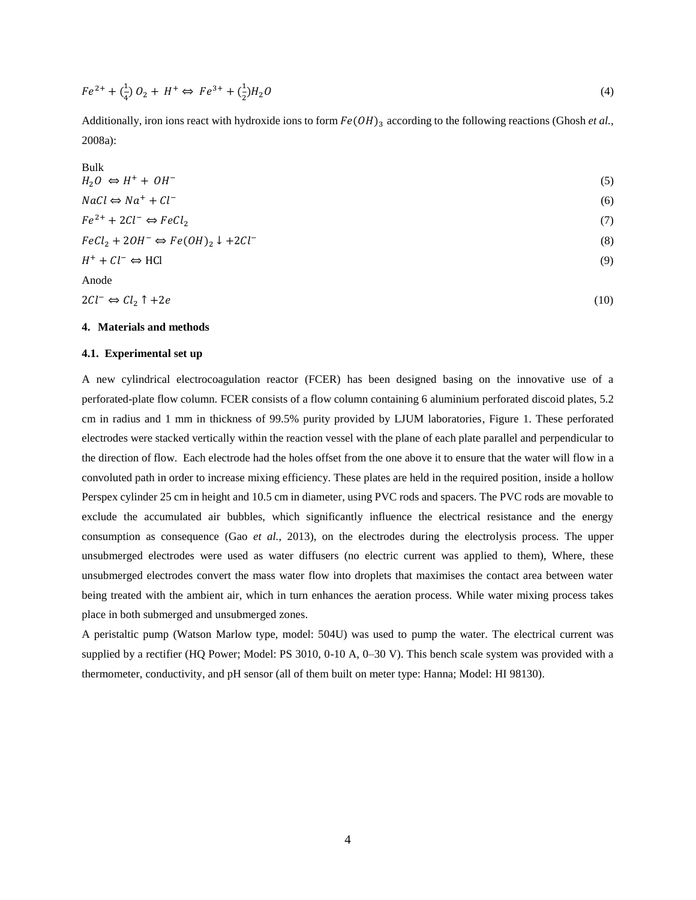$$
Fe^{2+} + \binom{1}{4}O_2 + H^+ \Leftrightarrow Fe^{3+} + \binom{1}{2}H_2O \tag{4}
$$

Additionally, iron ions react with hydroxide ions to form  $Fe(OH)$ <sub>3</sub> according to the following reactions (Ghosh *et al.*, 2008a):

| Bulk                                                      |     |
|-----------------------------------------------------------|-----|
| $H_2O \Leftrightarrow H^+ + OH^-$                         | (5) |
| $NaCl \Leftrightarrow Na^+ + Cl^-$                        | (6) |
| $Fe^{2+} + 2Cl^{-} \Leftrightarrow FeCl_2$                | (7) |
| $FeCl2 + 2OH^- \Leftrightarrow Fe(OH)2 \downarrow +2Cl^-$ | (8) |
| $H^+ + Cl^- \Leftrightarrow HCl$                          | (9) |
| Anode                                                     |     |

 $2Cl^- \Leftrightarrow Cl_2 \uparrow +2e$  (10)

#### **4. Materials and methods**

#### **4.1. Experimental set up**

A new cylindrical electrocoagulation reactor (FCER) has been designed basing on the innovative use of a perforated-plate flow column. FCER consists of a flow column containing 6 aluminium perforated discoid plates, 5.2 cm in radius and 1 mm in thickness of 99.5% purity provided by LJUM laboratories, Figure 1. These perforated electrodes were stacked vertically within the reaction vessel with the plane of each plate parallel and perpendicular to the direction of flow. Each electrode had the holes offset from the one above it to ensure that the water will flow in a convoluted path in order to increase mixing efficiency. These plates are held in the required position, inside a hollow Perspex cylinder 25 cm in height and 10.5 cm in diameter, using PVC rods and spacers. The PVC rods are movable to exclude the accumulated air bubbles, which significantly influence the electrical resistance and the energy consumption as consequence (Gao *et al.*, 2013), on the electrodes during the electrolysis process. The upper unsubmerged electrodes were used as water diffusers (no electric current was applied to them), Where, these unsubmerged electrodes convert the mass water flow into droplets that maximises the contact area between water being treated with the ambient air, which in turn enhances the aeration process. While water mixing process takes place in both submerged and unsubmerged zones.

A peristaltic pump (Watson Marlow type, model: 504U) was used to pump the water. The electrical current was supplied by a rectifier (HQ Power; Model: PS 3010, 0-10 A, 0-30 V). This bench scale system was provided with a thermometer, conductivity, and pH sensor (all of them built on meter type: Hanna; Model: HI 98130).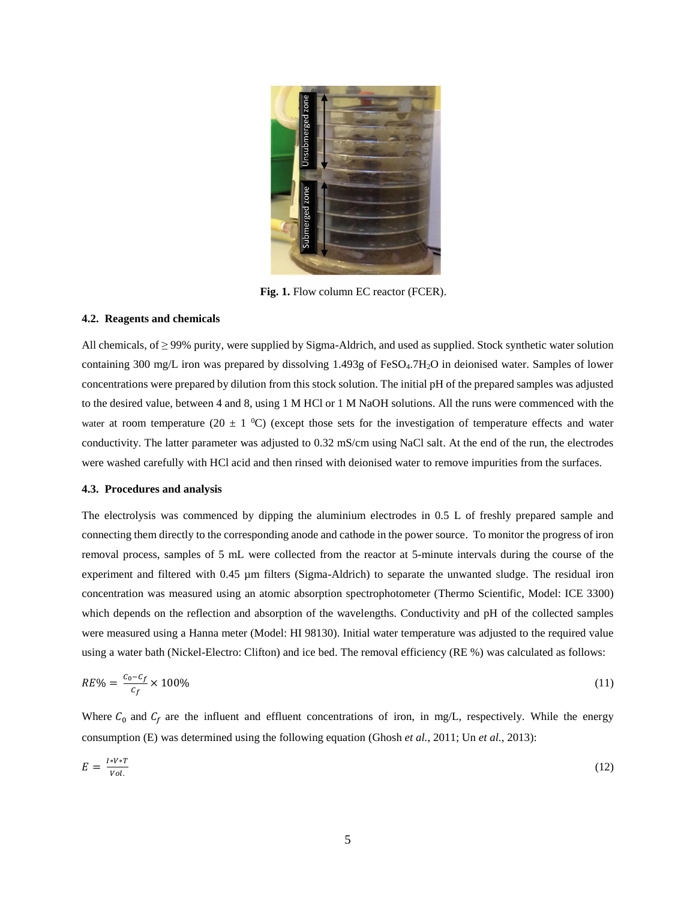

**Fig. 1.** Flow column EC reactor (FCER).

# **4.2. Reagents and chemicals**

All chemicals, of ≥ 99% purity, were supplied by Sigma-Aldrich, and used as supplied. Stock synthetic water solution containing 300 mg/L iron was prepared by dissolving 1.493g of FeSO<sub>4</sub>.7H<sub>2</sub>O in deionised water. Samples of lower concentrations were prepared by dilution from this stock solution. The initial pH of the prepared samples was adjusted to the desired value, between 4 and 8, using 1 M HCl or 1 M NaOH solutions. All the runs were commenced with the water at room temperature (20  $\pm$  1 <sup>0</sup>C) (except those sets for the investigation of temperature effects and water conductivity. The latter parameter was adjusted to 0.32 mS/cm using NaCl salt. At the end of the run, the electrodes were washed carefully with HCl acid and then rinsed with deionised water to remove impurities from the surfaces.

#### **4.3. Procedures and analysis**

The electrolysis was commenced by dipping the aluminium electrodes in 0.5 L of freshly prepared sample and connecting them directly to the corresponding anode and cathode in the power source. To monitor the progress of iron removal process, samples of 5 mL were collected from the reactor at 5-minute intervals during the course of the experiment and filtered with 0.45 µm filters (Sigma-Aldrich) to separate the unwanted sludge. The residual iron concentration was measured using an atomic absorption spectrophotometer (Thermo Scientific, Model: ICE 3300) which depends on the reflection and absorption of the wavelengths. Conductivity and pH of the collected samples were measured using a Hanna meter (Model: HI 98130). Initial water temperature was adjusted to the required value using a water bath (Nickel-Electro: Clifton) and ice bed. The removal efficiency (RE %) was calculated as follows:

$$
RE\% = \frac{c_0 - c_f}{c_f} \times 100\%
$$
\n(11)

Where  $C_0$  and  $C_f$  are the influent and effluent concentrations of iron, in mg/L, respectively. While the energy consumption (E) was determined using the following equation (Ghosh *et al.*, 2011; Un *et al.*, 2013):

$$
E = \frac{I*V*T}{Vol.} \tag{12}
$$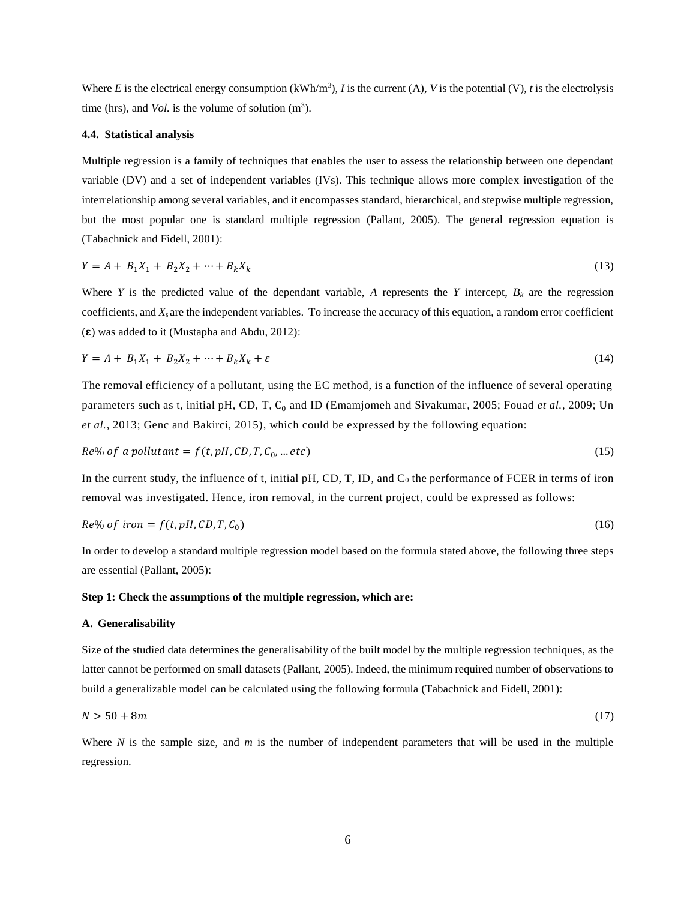Where *E* is the electrical energy consumption (kWh/m<sup>3</sup>), *I* is the current (A), *V* is the potential (V), *t* is the electrolysis time (hrs), and *Vol*. is the volume of solution  $(m^3)$ .

#### **4.4. Statistical analysis**

Multiple regression is a family of techniques that enables the user to assess the relationship between one dependant variable (DV) and a set of independent variables (IVs). This technique allows more complex investigation of the interrelationship among several variables, and it encompasses standard, hierarchical, and stepwise multiple regression, but the most popular one is standard multiple regression (Pallant, 2005). The general regression equation is (Tabachnick and Fidell, 2001):

$$
Y = A + B_1 X_1 + B_2 X_2 + \dots + B_k X_k \tag{13}
$$

Where *Y* is the predicted value of the dependant variable, *A* represents the *Y* intercept,  $B_k$  are the regression coefficients, and *X*s are the independent variables. To increase the accuracy of this equation, a random error coefficient  $(\epsilon)$  was added to it (Mustapha and Abdu, 2012):

$$
Y = A + B_1 X_1 + B_2 X_2 + \dots + B_k X_k + \varepsilon
$$
\n(14)

The removal efficiency of a pollutant, using the EC method, is a function of the influence of several operating parameters such as t, initial pH, CD, T, C<sub>0</sub> and ID (Emamjomeh and Sivakumar, 2005; Fouad et al., 2009; Un *et al.*, 2013; Genc and Bakirci, 2015), which could be expressed by the following equation:

$$
Re\% \text{ of a pollutant} = f(t, pH, CD, T, C_0, \dots etc)
$$
\n
$$
(15)
$$

In the current study, the influence of t, initial pH, CD, T, ID, and  $C_0$  the performance of FCER in terms of iron removal was investigated. Hence, iron removal, in the current project, could be expressed as follows:

$$
Re\% \text{ of iron} = f(t, pH, CD, T, C_0) \tag{16}
$$

In order to develop a standard multiple regression model based on the formula stated above, the following three steps are essential (Pallant, 2005):

# **Step 1: Check the assumptions of the multiple regression, which are:**

#### **A. Generalisability**

Size of the studied data determines the generalisability of the built model by the multiple regression techniques, as the latter cannot be performed on small datasets (Pallant, 2005). Indeed, the minimum required number of observations to build a generalizable model can be calculated using the following formula (Tabachnick and Fidell, 2001):

$$
N > 50 + 8m \tag{17}
$$

Where *N* is the sample size, and *m* is the number of independent parameters that will be used in the multiple regression.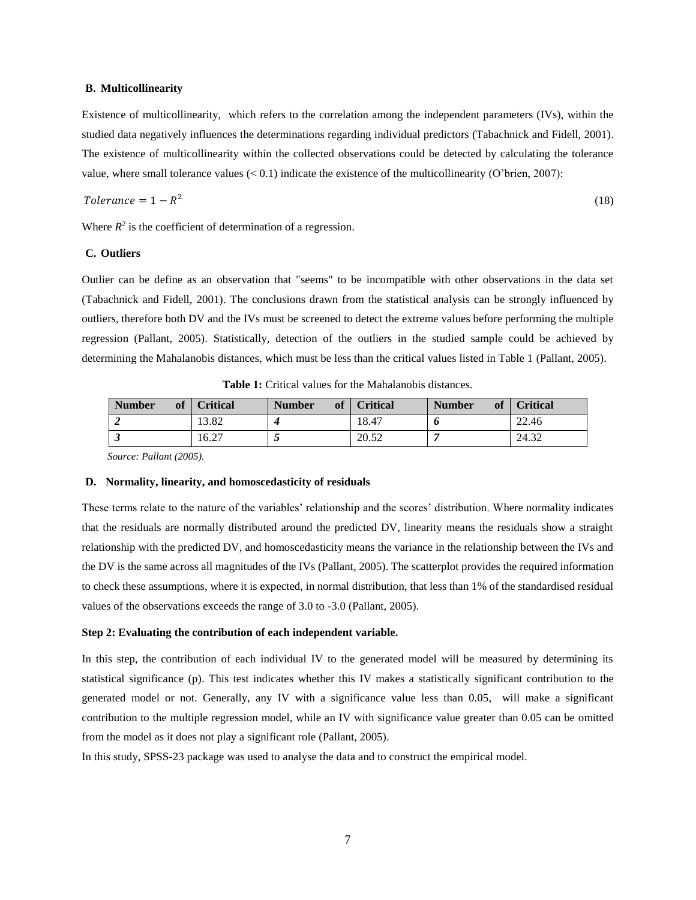#### **B. Multicollinearity**

Existence of multicollinearity, which refers to the correlation among the independent parameters (IVs), within the studied data negatively influences the determinations regarding [individual predictors](https://en.wikipedia.org/wiki/Dependent_and_independent_variables#Use_in_statistics) (Tabachnick and Fidell, 2001). The existence of multicollinearity within the collected observations could be detected by calculating the tolerance value, where small tolerance values  $(< 0.1$ ) indicate the existence of the multicollinearity (O'brien, 2007):

$$
Tolerance = 1 - R^2 \tag{18}
$$

Where  $R^2$  is the coefficient of determination of a regression.

# **C. Outliers**

Outlier can be define as an observation that "seems" to be incompatible with other observations in the data set (Tabachnick and Fidell, 2001). The conclusions drawn from the statistical analysis can be strongly influenced by outliers, therefore both DV and the IVs must be screened to detect the extreme values before performing the multiple regression (Pallant, 2005). Statistically, detection of the outliers in the studied sample could be achieved by determining the Mahalanobis distances, which must be less than the critical values listed in Table 1 (Pallant, 2005).

| <b>Number</b><br><b>of</b> | <b>Critical</b> | <b>Number</b><br><b>of</b> | <b>Critical</b> | <b>Number</b><br><b>of</b> | <b>Critical</b> |
|----------------------------|-----------------|----------------------------|-----------------|----------------------------|-----------------|
|                            | 13.82           |                            | 18.47           |                            | 22.46           |
|                            | 6.27            | $\ddot{\phantom{0}}$       | 20.52           |                            | 24.32           |

**Table 1:** Critical values for the Mahalanobis distances.

 *Source: Pallant (2005).*

#### **D. Normality, linearity, and homoscedasticity of residuals**

These terms relate to the nature of the variables' relationship and the scores' distribution. Where normality indicates that the residuals are normally distributed around the predicted DV, linearity means the residuals show a straight relationship with the predicted DV, and homoscedasticity means the variance in the relationship between the IVs and the DV is the same across all magnitudes of the IVs (Pallant, 2005). The scatterplot provides the required information to check these assumptions, where it is expected, in normal distribution, that less than 1% of the standardised residual values of the observations exceeds the range of 3.0 to -3.0 (Pallant, 2005).

#### **Step 2: Evaluating the contribution of each independent variable.**

In this step, the contribution of each individual IV to the generated model will be measured by determining its statistical significance (p). This test indicates whether this IV makes a statistically significant contribution to the generated model or not. Generally, any IV with a significance value less than 0.05, will make a significant contribution to the multiple regression model, while an IV with significance value greater than 0.05 can be omitted from the model as it does not play a significant role (Pallant, 2005).

In this study, SPSS-23 package was used to analyse the data and to construct the empirical model.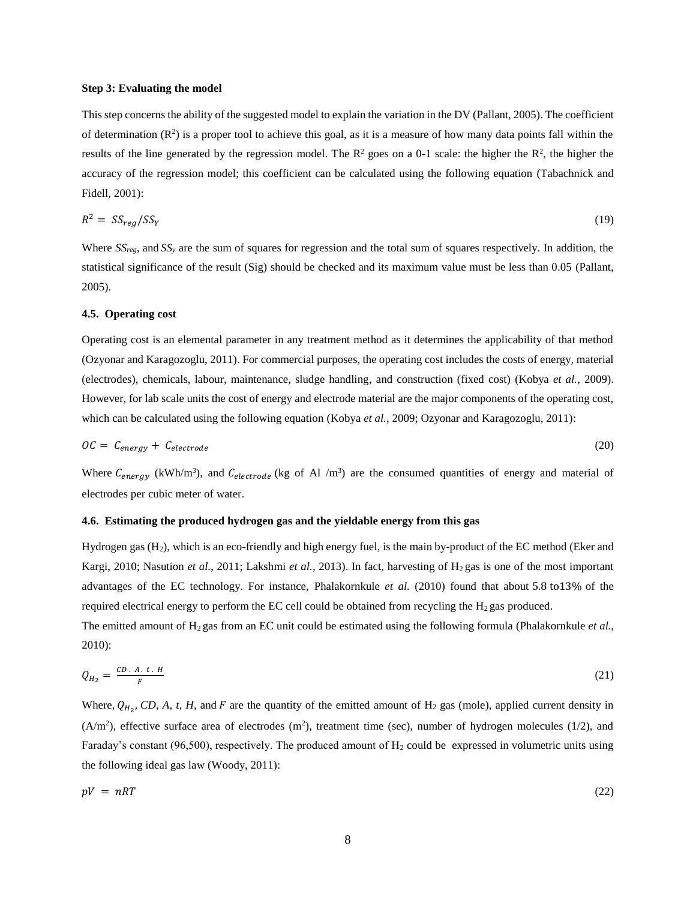#### **Step 3: Evaluating the model**

This step concerns the ability of the suggested model to explain the variation in the DV (Pallant, 2005). The coefficient of determination  $(R^2)$  is a proper tool to achieve this goal, as it is a measure of how many data points fall within the results of the line generated by the regression model. The  $\mathbb{R}^2$  goes on a 0-1 scale: the higher the  $\mathbb{R}^2$ , the higher the accuracy of the regression model; this coefficient can be calculated using the following equation (Tabachnick and Fidell, 2001):

$$
R^2 = SS_{reg}/SS_Y \tag{19}
$$

Where *SSreg*, and *SS<sup>y</sup>* are the sum of squares for regression and the total sum of squares respectively. In addition, the statistical significance of the result (Sig) should be checked and its maximum value must be less than 0.05 (Pallant, 2005).

#### **4.5. Operating cost**

Operating cost is an elemental parameter in any treatment method as it determines the applicability of that method (Ozyonar and Karagozoglu, 2011). For commercial purposes, the operating cost includes the costs of energy, material (electrodes), chemicals, labour, maintenance, sludge handling, and construction (fixed cost) (Kobya *et al.*, 2009). However, for lab scale units the cost of energy and electrode material are the major components of the operating cost, which can be calculated using the following equation (Kobya *et al.*, 2009; Ozyonar and Karagozoglu, 2011):

$$
OC = C_{energy} + C_{electrode}
$$
 (20)

Where  $C_{energy}$  (kWh/m<sup>3</sup>), and  $C_{electrode}$  (kg of Al /m<sup>3</sup>) are the consumed quantities of energy and material of electrodes per cubic meter of water.

#### **4.6. Estimating the produced hydrogen gas and the yieldable energy from this gas**

Hydrogen gas (H2), which is an eco-friendly and high energy fuel, is the main by-product of the EC method (Eker and Kargi, 2010; Nasution *et al.*, 2011; Lakshmi *et al.*, 2013). In fact, harvesting of H<sub>2</sub> gas is one of the most important advantages of the EC technology. For instance, Phalakornkule *et al.* (2010) found that about 5.8 to13% of the required electrical energy to perform the EC cell could be obtained from recycling the  $H_2$  gas produced.

The emitted amount of H2 gas from an EC unit could be estimated using the following formula (Phalakornkule *et al.*, 2010):

$$
Q_{H_2} = \frac{CD \cdot A \cdot t \cdot H}{F} \tag{21}
$$

Where,  $Q_{H_2}$ , CD, A, t, H, and F are the quantity of the emitted amount of H<sub>2</sub> gas (mole), applied current density in  $(A/m<sup>2</sup>)$ , effective surface area of electrodes  $(m<sup>2</sup>)$ , treatment time (sec), number of hydrogen molecules (1/2), and Faraday's constant (96,500), respectively. The produced amount of  $H_2$  could be expressed in volumetric units using the following ideal gas law (Woody, 2011):

$$
pV = nRT \tag{22}
$$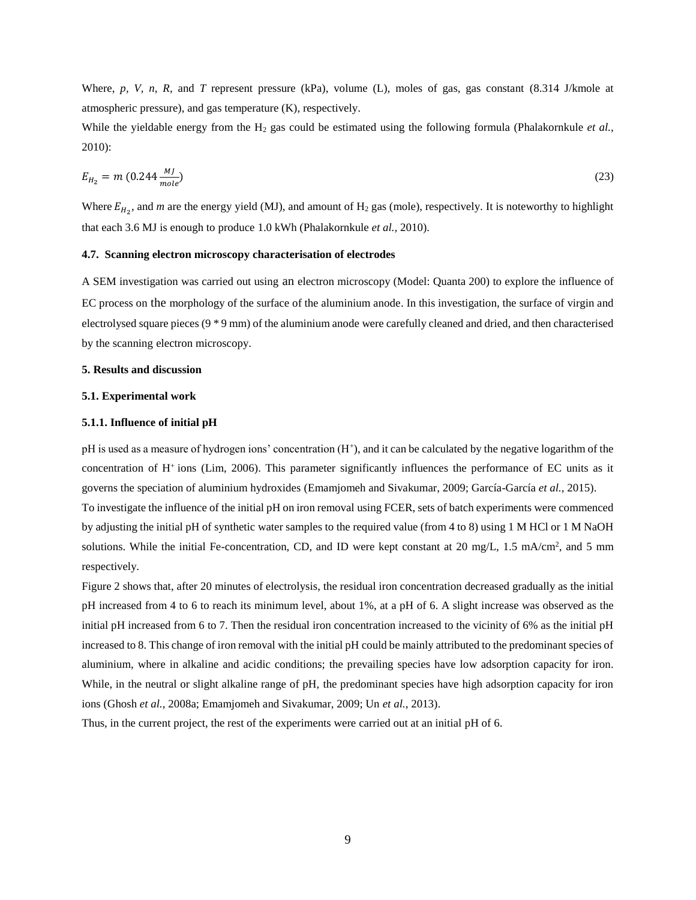Where, p, V, n, R, and T represent pressure (kPa), volume (L), moles of gas, gas constant (8.314 J/kmole at atmospheric pressure), and gas temperature (K), respectively.

While the yieldable energy from the H<sub>2</sub> gas could be estimated using the following formula (Phalakornkule *et al.*, 2010):

$$
E_{H_2} = m (0.244 \frac{MJ}{mole})
$$
\n(23)

Where  $E_{H_2}$ , and *m* are the energy yield (MJ), and amount of  $H_2$  gas (mole), respectively. It is noteworthy to highlight that each 3.6 MJ is enough to produce 1.0 kWh (Phalakornkule *et al.*, 2010).

#### **4.7. Scanning electron microscopy characterisation of electrodes**

A SEM investigation was carried out using an electron microscopy (Model: Quanta 200) to explore the influence of EC process on the morphology of the surface of the aluminium anode. In this investigation, the surface of virgin and electrolysed square pieces (9 \* 9 mm) of the aluminium anode were carefully cleaned and dried, and then characterised by the scanning electron microscopy.

# **5. Results and discussion**

#### **5.1. Experimental work**

#### **5.1.1. Influence of initial pH**

pH is used as a measure of hydrogen ions' concentration  $(H^+)$ , and it can be calculated by the negative logarithm of the concentration of H<sup>+</sup>ions (Lim, 2006). This parameter significantly influences the performance of EC units as it governs the speciation of aluminium hydroxides (Emamjomeh and Sivakumar, 2009; García-García *et al.*, 2015).

To investigate the influence of the initial pH on iron removal using FCER, sets of batch experiments were commenced by adjusting the initial pH of synthetic water samples to the required value (from 4 to 8) using 1 M HCl or 1 M NaOH solutions. While the initial Fe-concentration, CD, and ID were kept constant at 20 mg/L, 1.5 mA/cm<sup>2</sup>, and 5 mm respectively.

Figure 2 shows that, after 20 minutes of electrolysis, the residual iron concentration decreased gradually as the initial pH increased from 4 to 6 to reach its minimum level, about 1%, at a pH of 6. A slight increase was observed as the initial pH increased from 6 to 7. Then the residual iron concentration increased to the vicinity of 6% as the initial pH increased to 8. This change of iron removal with the initial pH could be mainly attributed to the predominant species of aluminium, where in alkaline and acidic conditions; the prevailing species have low adsorption capacity for iron. While, in the neutral or slight alkaline range of pH, the predominant species have high adsorption capacity for iron ions (Ghosh *et al.*, 2008a; Emamjomeh and Sivakumar, 2009; Un *et al.*, 2013).

Thus, in the current project, the rest of the experiments were carried out at an initial pH of 6.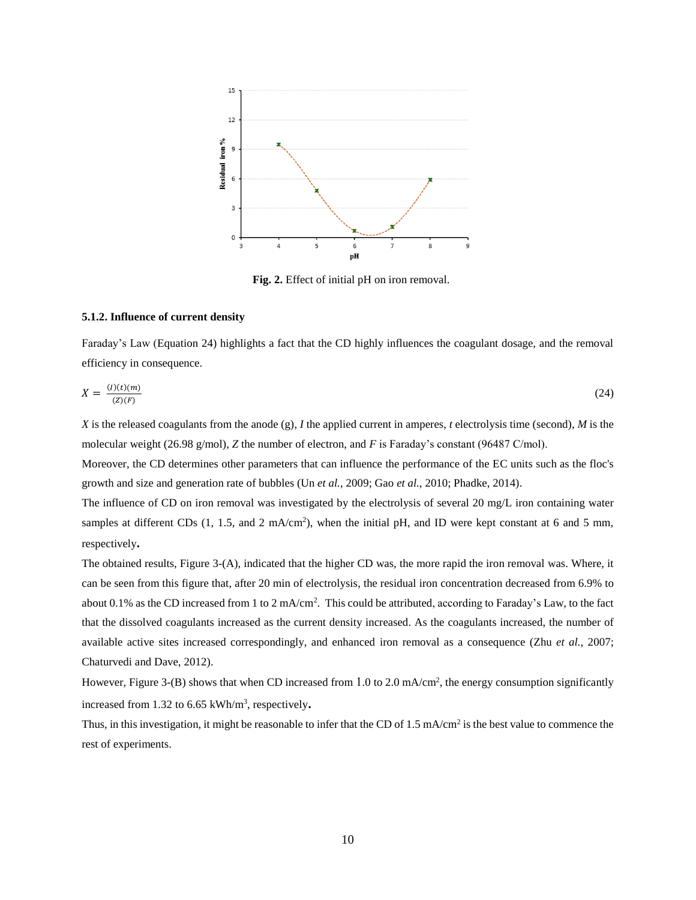

**Fig. 2.** Effect of initial pH on iron removal.

# **5.1.2. Influence of current density**

Faraday's Law (Equation 24) highlights a fact that the CD highly influences the coagulant dosage, and the removal efficiency in consequence.

$$
X = \frac{(I)(t)(m)}{(Z)(F)}\tag{24}
$$

*X* is the released coagulants from the anode (g), *I* the applied current in amperes, *t* electrolysis time (second), *M* is the molecular weight (26.98 g/mol), *Z* the number of electron, and *F* is Faraday's constant (96487 C/mol).

Moreover, the CD determines other parameters that can influence the performance of the EC units such as the floc's growth and size and generation rate of bubbles (Un *et al.*, 2009; Gao *et al.*, 2010; Phadke, 2014).

The influence of CD on iron removal was investigated by the electrolysis of several 20 mg/L iron containing water samples at different CDs  $(1, 1.5,$  and  $2 \text{ mA/cm}^2$ , when the initial pH, and ID were kept constant at 6 and 5 mm, respectively**.**

The obtained results, Figure 3-(A), indicated that the higher CD was, the more rapid the iron removal was. Where, it can be seen from this figure that, after 20 min of electrolysis, the residual iron concentration decreased from 6.9% to about 0.1% as the CD increased from 1 to 2 mA/cm<sup>2</sup>. This could be attributed, according to Faraday's Law, to the fact that the dissolved coagulants increased as the current density increased. As the coagulants increased, the number of available active sites increased correspondingly, and enhanced iron removal as a consequence (Zhu *et al.*, 2007; Chaturvedi and Dave, 2012).

However, Figure 3-(B) shows that when CD increased from 1.0 to 2.0 mA/cm<sup>2</sup>, the energy consumption significantly increased from 1.32 to 6.65 kWh/m<sup>3</sup>, respectively.

Thus, in this investigation, it might be reasonable to infer that the CD of 1.5 mA/cm<sup>2</sup> is the best value to commence the rest of experiments.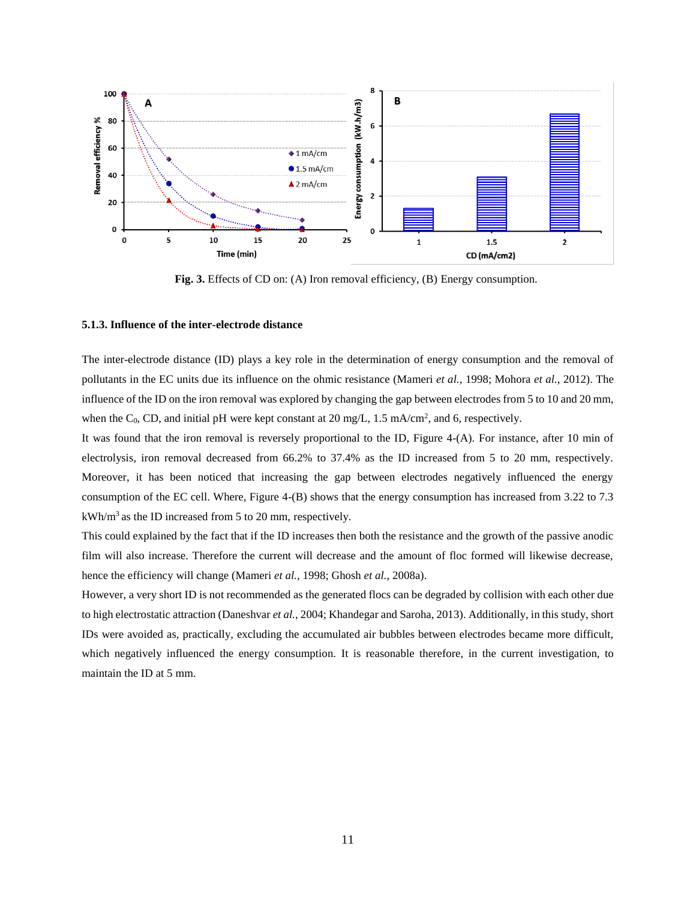

**Fig. 3.** Effects of CD on: (A) Iron removal efficiency, (B) Energy consumption.

# **5.1.3. Influence of the inter-electrode distance**

The inter-electrode distance (ID) plays a key role in the determination of energy consumption and the removal of pollutants in the EC units due its influence on the ohmic resistance (Mameri *et al.*, 1998; Mohora *et al.*, 2012). The influence of the ID on the iron removal was explored by changing the gap between electrodes from 5 to 10 and 20 mm, when the C<sub>0</sub>, CD, and initial pH were kept constant at 20 mg/L,  $1.5 \text{ mA/cm}^2$ , and 6, respectively.

It was found that the iron removal is reversely proportional to the ID, Figure 4-(A). For instance, after 10 min of electrolysis, iron removal decreased from 66.2% to 37.4% as the ID increased from 5 to 20 mm, respectively. Moreover, it has been noticed that increasing the gap between electrodes negatively influenced the energy consumption of the EC cell. Where, Figure 4-(B) shows that the energy consumption has increased from 3.22 to 7.3 kWh/m<sup>3</sup> as the ID increased from 5 to 20 mm, respectively.

This could explained by the fact that if the ID increases then both the resistance and the growth of the passive anodic film will also increase. Therefore the current will decrease and the amount of floc formed will likewise decrease, hence the efficiency will change (Mameri *et al.*, 1998; Ghosh *et al.*, 2008a).

However, a very short ID is not recommended as the generated flocs can be degraded by collision with each other due to high electrostatic attraction (Daneshvar *et al.*, 2004; Khandegar and Saroha, 2013). Additionally, in this study, short IDs were avoided as, practically, excluding the accumulated air bubbles between electrodes became more difficult, which negatively influenced the energy consumption. It is reasonable therefore, in the current investigation, to maintain the ID at 5 mm.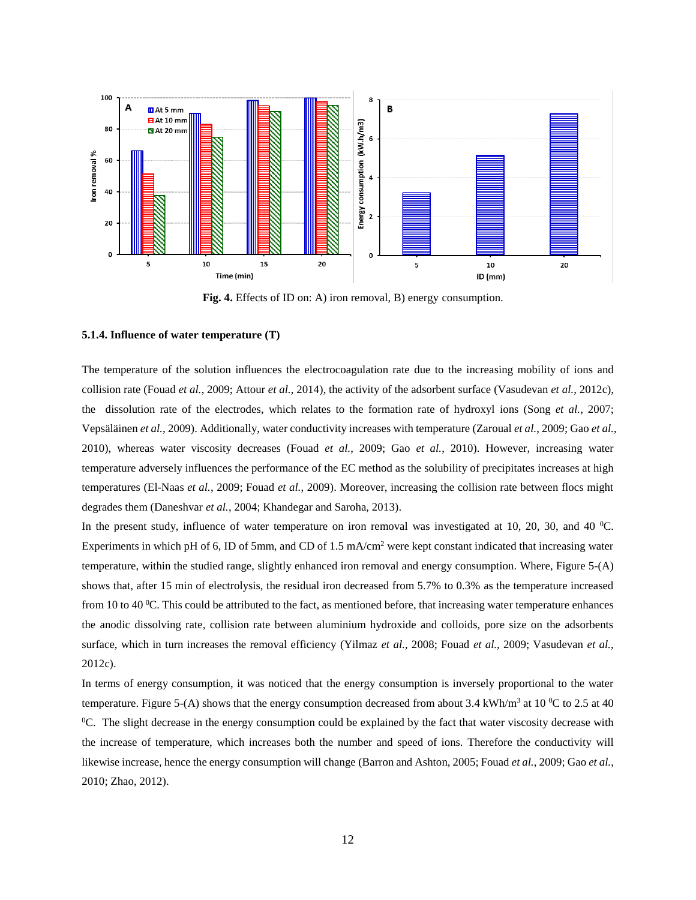

**Fig. 4.** Effects of ID on: A) iron removal, B) energy consumption.

#### **5.1.4. Influence of water temperature (T)**

The temperature of the solution influences the electrocoagulation rate due to the increasing mobility of ions and collision rate (Fouad *et al.*, 2009; Attour *et al.*, 2014), the activity of the adsorbent surface (Vasudevan *et al.*, 2012c), the dissolution rate of the electrodes, which relates to the formation rate of hydroxyl ions (Song *et al.*, 2007; Vepsäläinen *et al.*, 2009). Additionally, water conductivity increases with temperature (Zaroual *et al.*, 2009; Gao *et al.*, 2010), whereas water viscosity decreases (Fouad *et al.*, 2009; Gao *et al.*, 2010). However, increasing water temperature adversely influences the performance of the EC method as the solubility of precipitates increases at high temperatures (El-Naas *et al.*, 2009; Fouad *et al.*, 2009). Moreover, increasing the collision rate between flocs might degrades them (Daneshvar *et al.*, 2004; Khandegar and Saroha, 2013).

In the present study, influence of water temperature on iron removal was investigated at 10, 20, 30, and 40  $^{\circ}$ C. Experiments in which pH of 6, ID of 5mm, and CD of  $1.5 \text{ mA/cm}^2$  were kept constant indicated that increasing water temperature, within the studied range, slightly enhanced iron removal and energy consumption. Where, Figure 5-(A) shows that, after 15 min of electrolysis, the residual iron decreased from 5.7% to 0.3% as the temperature increased from 10 to 40  $^{\circ}$ C. This could be attributed to the fact, as mentioned before, that increasing water temperature enhances the anodic dissolving rate, collision rate between aluminium hydroxide and colloids, pore size on the adsorbents surface, which in turn increases the removal efficiency (Yilmaz *et al.*, 2008; Fouad *et al.*, 2009; Vasudevan *et al.*, 2012c).

In terms of energy consumption, it was noticed that the energy consumption is inversely proportional to the water temperature. Figure 5-(A) shows that the energy consumption decreased from about 3.4 kWh/m<sup>3</sup> at 10 <sup>o</sup>C to 2.5 at 40  ${}^0C$ . The slight decrease in the energy consumption could be explained by the fact that water viscosity decrease with the increase of temperature, which increases both the number and speed of ions. Therefore the conductivity will likewise increase, hence the energy consumption will change (Barron and Ashton, 2005; Fouad *et al.*, 2009; Gao *et al.*, 2010; Zhao, 2012).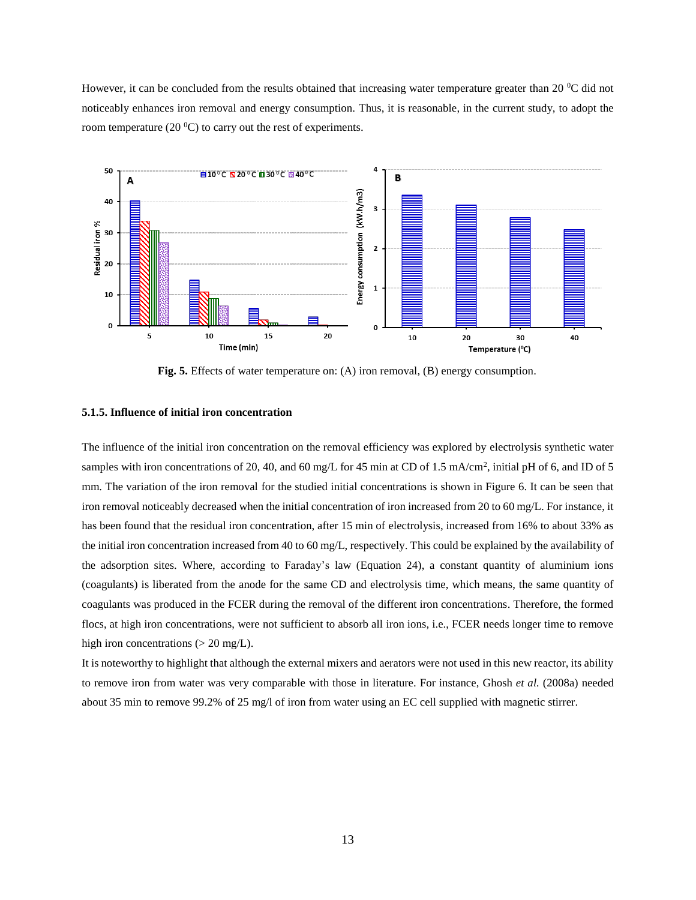However, it can be concluded from the results obtained that increasing water temperature greater than 20 <sup>o</sup>C did not noticeably enhances iron removal and energy consumption. Thus, it is reasonable, in the current study, to adopt the room temperature (20 $\degree$ C) to carry out the rest of experiments.



**Fig. 5.** Effects of water temperature on: (A) iron removal, (B) energy consumption.

# **5.1.5. Influence of initial iron concentration**

The influence of the initial iron concentration on the removal efficiency was explored by electrolysis synthetic water samples with iron concentrations of 20, 40, and 60 mg/L for 45 min at CD of 1.5 mA/cm<sup>2</sup>, initial pH of 6, and ID of 5 mm. The variation of the iron removal for the studied initial concentrations is shown in Figure 6. It can be seen that iron removal noticeably decreased when the initial concentration of iron increased from 20 to 60 mg/L. For instance, it has been found that the residual iron concentration, after 15 min of electrolysis, increased from 16% to about 33% as the initial iron concentration increased from 40 to 60 mg/L, respectively. This could be explained by the availability of the adsorption sites. Where, according to Faraday's law (Equation 24), a constant quantity of aluminium ions (coagulants) is liberated from the anode for the same CD and electrolysis time, which means, the same quantity of coagulants was produced in the FCER during the removal of the different iron concentrations. Therefore, the formed flocs, at high iron concentrations, were not sufficient to absorb all iron ions, i.e., FCER needs longer time to remove high iron concentrations  $(> 20 \text{ mg/L}).$ 

It is noteworthy to highlight that although the external mixers and aerators were not used in this new reactor, its ability to remove iron from water was very comparable with those in literature. For instance, Ghosh *et al.* (2008a) needed about 35 min to remove 99.2% of 25 mg/l of iron from water using an EC cell supplied with magnetic stirrer.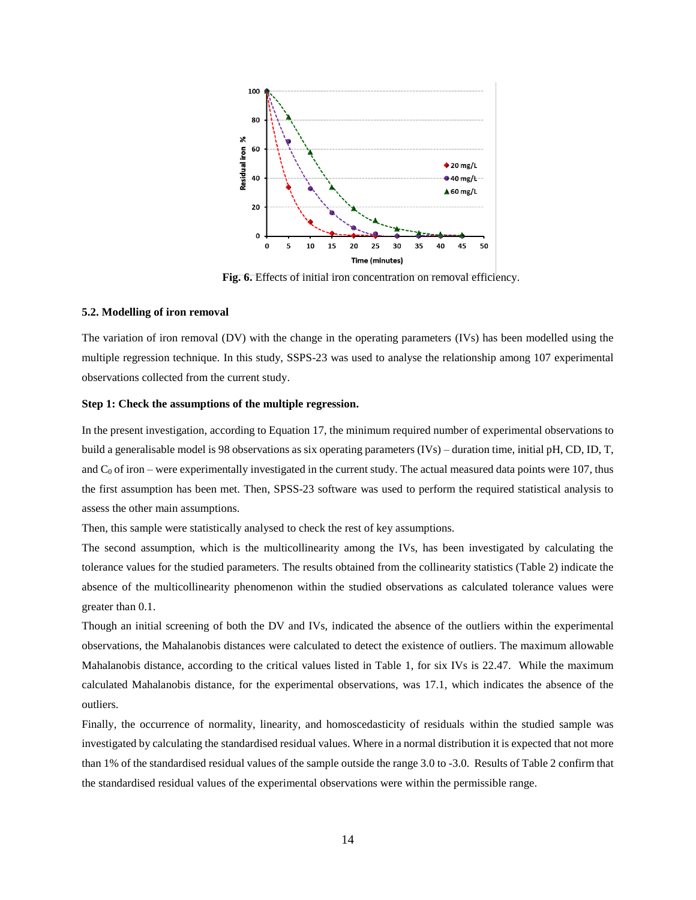

**Fig. 6.** Effects of initial iron concentration on removal efficiency.

#### **5.2. Modelling of iron removal**

The variation of iron removal (DV) with the change in the operating parameters (IVs) has been modelled using the multiple regression technique. In this study, SSPS-23 was used to analyse the relationship among 107 experimental observations collected from the current study.

# **Step 1: Check the assumptions of the multiple regression.**

In the present investigation, according to Equation 17, the minimum required number of experimental observations to build a generalisable model is 98 observations as six operating parameters (IVs) – duration time, initial pH, CD, ID, T, and  $C_0$  of iron – were experimentally investigated in the current study. The actual measured data points were 107, thus the first assumption has been met. Then, SPSS-23 software was used to perform the required statistical analysis to assess the other main assumptions.

Then, this sample were statistically analysed to check the rest of key assumptions.

The second assumption, which is the multicollinearity among the IVs, has been investigated by calculating the tolerance values for the studied parameters. The results obtained from the collinearity statistics (Table 2) indicate the absence of the multicollinearity phenomenon within the studied observations as calculated tolerance values were greater than 0.1.

Though an initial screening of both the DV and IVs, indicated the absence of the outliers within the experimental observations, the Mahalanobis distances were calculated to detect the existence of outliers. The maximum allowable Mahalanobis distance, according to the critical values listed in Table 1, for six IVs is 22.47. While the maximum calculated Mahalanobis distance, for the experimental observations, was 17.1, which indicates the absence of the outliers.

Finally, the occurrence of normality, linearity, and homoscedasticity of residuals within the studied sample was investigated by calculating the standardised residual values. Where in a normal distribution it is expected that not more than 1% of the standardised residual values of the sample outside the range 3.0 to -3.0. Results of Table 2 confirm that the standardised residual values of the experimental observations were within the permissible range.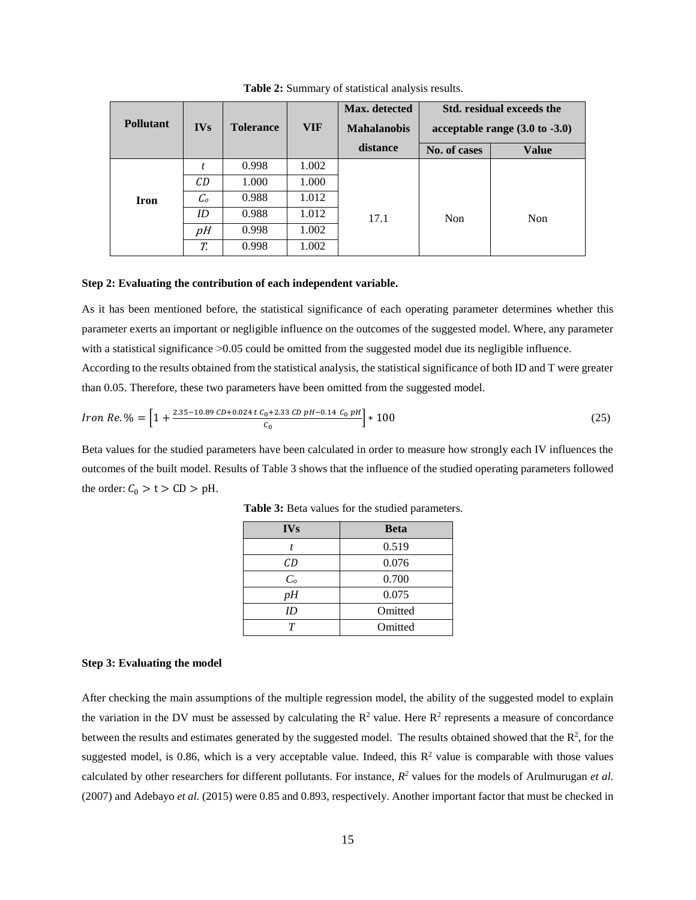| <b>Pollutant</b> | <b>IVs</b>      | <b>Tolerance</b> | <b>VIF</b> | Max. detected<br><b>Mahalanobis</b> |              | Std. residual exceeds the<br>acceptable range $(3.0 \text{ to } -3.0)$ |
|------------------|-----------------|------------------|------------|-------------------------------------|--------------|------------------------------------------------------------------------|
|                  |                 |                  |            | distance                            | No. of cases | <b>Value</b>                                                           |
|                  | t               | 0.998            | 1.002      |                                     |              |                                                                        |
|                  | CD              | 1.000            | 1.000      |                                     |              |                                                                        |
| <b>Iron</b>      | $\mathcal{C}_o$ | 0.988            | 1.012      |                                     |              |                                                                        |
|                  | ID              | 0.988            | 1.012      | 17.1                                | Non          | Non                                                                    |
|                  | pH              | 0.998            | 1.002      |                                     |              |                                                                        |
|                  | T.              | 0.998            | 1.002      |                                     |              |                                                                        |

**Table 2:** Summary of statistical analysis results.

#### **Step 2: Evaluating the contribution of each independent variable.**

As it has been mentioned before, the statistical significance of each operating parameter determines whether this parameter exerts an important or negligible influence on the outcomes of the suggested model. Where, any parameter with a statistical significance  $>0.05$  could be omitted from the suggested model due its negligible influence.

According to the results obtained from the statistical analysis, the statistical significance of both ID and T were greater than 0.05. Therefore, these two parameters have been omitted from the suggested model.

$$
Iron\ Re.\ \% = \left[1 + \frac{2.35 - 10.89\ CD + 0.024\ t\ C_0 + 2.33\ CD\ pH - 0.14\ C_0\ pH}{C_0}\right] * 100\tag{25}
$$

Beta values for the studied parameters have been calculated in order to measure how strongly each IV influences the outcomes of the built model. Results of Table 3 shows that the influence of the studied operating parameters followed the order:  $C_0 > t > CD > pH$ .

| <b>IVs</b>     | <b>Beta</b> |
|----------------|-------------|
| t              | 0.519       |
| CD             | 0.076       |
| C <sub>o</sub> | 0.700       |
| pН             | 0.075       |
| ID             | Omitted     |
|                | Omitted     |

**Table 3:** Beta values for the studied parameters.

#### **Step 3: Evaluating the model**

After checking the main assumptions of the multiple regression model, the ability of the suggested model to explain the variation in the DV must be assessed by calculating the  $\mathbb{R}^2$  value. Here  $\mathbb{R}^2$  represents a measure of concordance between the results and estimates generated by the suggested model. The results obtained showed that the  $\mathbb{R}^2$ , for the suggested model, is 0.86, which is a very acceptable value. Indeed, this  $\mathbb{R}^2$  value is comparable with those values calculated by other researchers for different pollutants. For instance,  $R^2$  values for the models of Arulmurugan *et al.* (2007) and Adebayo *et al.* (2015) were 0.85 and 0.893, respectively. Another important factor that must be checked in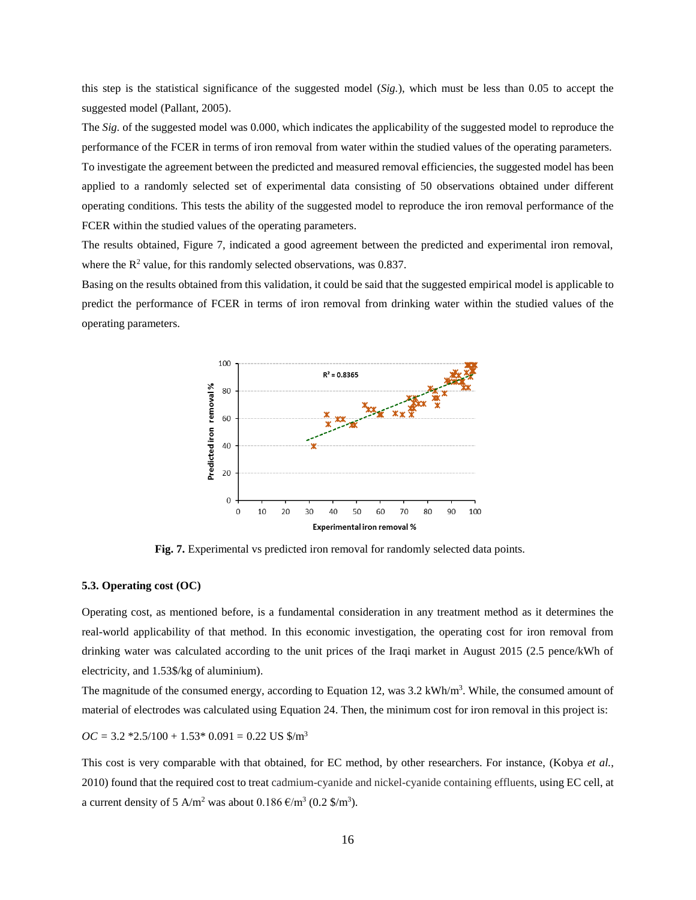this step is the statistical significance of the suggested model (*Sig.*), which must be less than 0.05 to accept the suggested model (Pallant, 2005).

The *Sig.* of the suggested model was 0.000, which indicates the applicability of the suggested model to reproduce the performance of the FCER in terms of iron removal from water within the studied values of the operating parameters. To investigate the agreement between the predicted and measured removal efficiencies, the suggested model has been applied to a randomly selected set of experimental data consisting of 50 observations obtained under different operating conditions. This tests the ability of the suggested model to reproduce the iron removal performance of the FCER within the studied values of the operating parameters.

The results obtained, Figure 7, indicated a good agreement between the predicted and experimental iron removal, where the  $R^2$  value, for this randomly selected observations, was 0.837.

Basing on the results obtained from this validation, it could be said that the suggested empirical model is applicable to predict the performance of FCER in terms of iron removal from drinking water within the studied values of the operating parameters.



**Fig. 7.** Experimental vs predicted iron removal for randomly selected data points.

# **5.3. Operating cost (OC)**

Operating cost, as mentioned before, is a fundamental consideration in any treatment method as it determines the real-world applicability of that method. In this economic investigation, the operating cost for iron removal from drinking water was calculated according to the unit prices of the Iraqi market in August 2015 (2.5 pence/kWh of electricity, and 1.53\$/kg of aluminium).

The magnitude of the consumed energy, according to Equation 12, was 3.2 kWh/m<sup>3</sup>. While, the consumed amount of material of electrodes was calculated using Equation 24. Then, the minimum cost for iron removal in this project is:

 $OC = 3.2 *2.5/100 + 1.53 * 0.091 = 0.22$  US  $\frac{\text{m}}{\text{s}}$ 

This cost is very comparable with that obtained, for EC method, by other researchers. For instance, (Kobya *et al.*, 2010) found that the required cost to treat cadmium-cyanide and nickel-cyanide containing effluents, using EC cell, at a current density of 5 A/m<sup>2</sup> was about  $0.186 \text{ E/m}^3$  (0.2 \$/m<sup>3</sup>).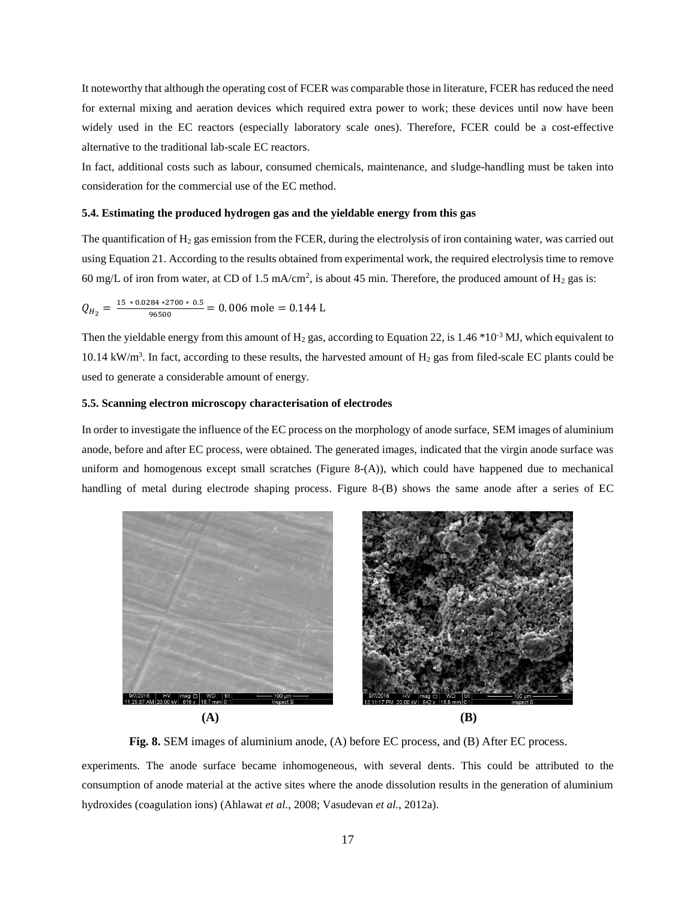It noteworthy that although the operating cost of FCER was comparable those in literature, FCER has reduced the need for external mixing and aeration devices which required extra power to work; these devices until now have been widely used in the EC reactors (especially laboratory scale ones). Therefore, FCER could be a cost-effective alternative to the traditional lab-scale EC reactors.

In fact, additional costs such as labour, consumed chemicals, maintenance, and sludge-handling must be taken into consideration for the commercial use of the EC method.

#### **5.4. Estimating the produced hydrogen gas and the yieldable energy from this gas**

The quantification of  $H_2$  gas emission from the FCER, during the electrolysis of iron containing water, was carried out using Equation 21. According to the results obtained from experimental work, the required electrolysis time to remove 60 mg/L of iron from water, at CD of 1.5 mA/cm<sup>2</sup>, is about 45 min. Therefore, the produced amount of  $H_2$  gas is:

$$
Q_{H_2} = \frac{15 * 0.0284 * 2700 * 0.5}{96500} = 0.006 \text{ mole} = 0.144 \text{ L}
$$

Then the yieldable energy from this amount of  $H_2$  gas, according to Equation 22, is 1.46  $*10^{-3}$  MJ, which equivalent to 10.14 kW/m<sup>3</sup>. In fact, according to these results, the harvested amount of  $H_2$  gas from filed-scale EC plants could be used to generate a considerable amount of energy.

# **5.5. Scanning electron microscopy characterisation of electrodes**

In order to investigate the influence of the EC process on the morphology of anode surface, SEM images of aluminium anode, before and after EC process, were obtained. The generated images, indicated that the virgin anode surface was uniform and homogenous except small scratches (Figure 8-(A)), which could have happened due to mechanical handling of metal during electrode shaping process. Figure 8-(B) shows the same anode after a series of EC



**Fig. 8.** SEM images of aluminium anode, (A) before EC process, and (B) After EC process.

experiments. The anode surface became inhomogeneous, with several dents. This could be attributed to the consumption of anode material at the active sites where the anode dissolution results in the generation of aluminium hydroxides (coagulation ions) (Ahlawat *et al.*, 2008; Vasudevan *et al.*, 2012a).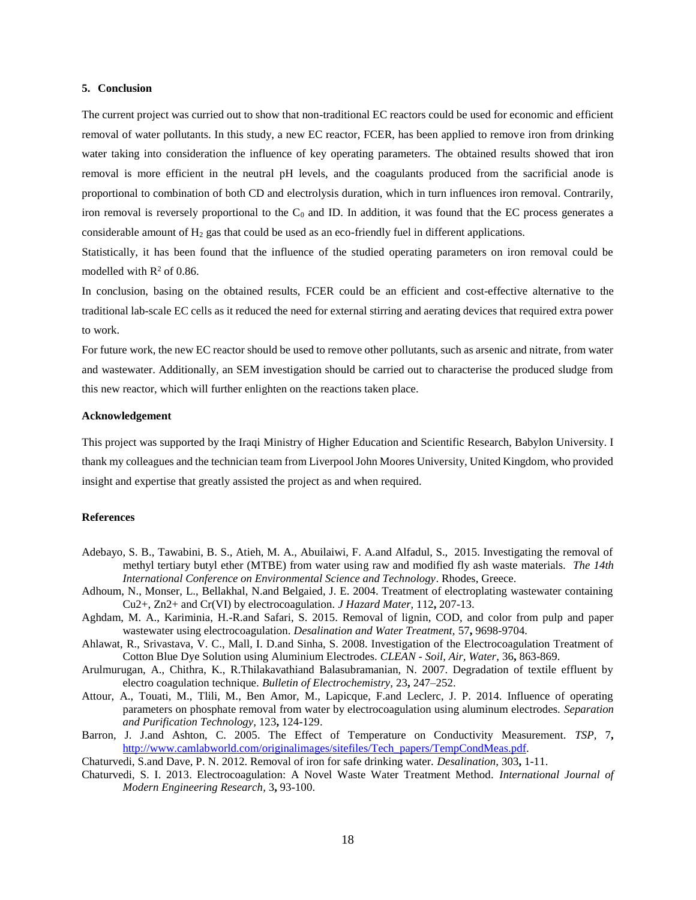# **5. Conclusion**

The current project was curried out to show that non-traditional EC reactors could be used for economic and efficient removal of water pollutants. In this study, a new EC reactor, FCER, has been applied to remove iron from drinking water taking into consideration the influence of key operating parameters. The obtained results showed that iron removal is more efficient in the neutral pH levels, and the coagulants produced from the sacrificial anode is proportional to combination of both CD and electrolysis duration, which in turn influences iron removal. Contrarily, iron removal is reversely proportional to the  $C_0$  and ID. In addition, it was found that the EC process generates a considerable amount of  $H_2$  gas that could be used as an eco-friendly fuel in different applications.

Statistically, it has been found that the influence of the studied operating parameters on iron removal could be modelled with  $R^2$  of 0.86.

In conclusion, basing on the obtained results, FCER could be an efficient and cost-effective alternative to the traditional lab-scale EC cells as it reduced the need for external stirring and aerating devices that required extra power to work.

For future work, the new EC reactor should be used to remove other pollutants, such as arsenic and nitrate, from water and wastewater. Additionally, an SEM investigation should be carried out to characterise the produced sludge from this new reactor, which will further enlighten on the reactions taken place.

# **Acknowledgement**

This project was supported by the Iraqi Ministry of Higher Education and Scientific Research, Babylon University. I thank my colleagues and the technician team from Liverpool John Moores University, United Kingdom, who provided insight and expertise that greatly assisted the project as and when required.

# **References**

- Adebayo, S. B., Tawabini, B. S., Atieh, M. A., Abuilaiwi, F. A.and Alfadul, S., 2015. Investigating the removal of methyl tertiary butyl ether (MTBE) from water using raw and modified fly ash waste materials. *The 14th International Conference on Environmental Science and Technology*. Rhodes, Greece.
- Adhoum, N., Monser, L., Bellakhal, N.and Belgaied, J. E. 2004. Treatment of electroplating wastewater containing Cu2+, Zn2+ and Cr(VI) by electrocoagulation. *J Hazard Mater,* 112**,** 207-13.
- Aghdam, M. A., Kariminia, H.-R.and Safari, S. 2015. Removal of lignin, COD, and color from pulp and paper wastewater using electrocoagulation. *Desalination and Water Treatment,* 57**,** 9698-9704.
- Ahlawat, R., Srivastava, V. C., Mall, I. D.and Sinha, S. 2008. Investigation of the Electrocoagulation Treatment of Cotton Blue Dye Solution using Aluminium Electrodes. *CLEAN - Soil, Air, Water,* 36**,** 863-869.
- Arulmurugan, A., Chithra, K., R.Thilakavathiand Balasubramanian, N. 2007. Degradation of textile effluent by electro coagulation technique. *Bulletin of Electrochemistry,* 23**,** 247–252.
- Attour, A., Touati, M., Tlili, M., Ben Amor, M., Lapicque, F.and Leclerc, J. P. 2014. Influence of operating parameters on phosphate removal from water by electrocoagulation using aluminum electrodes. *Separation and Purification Technology,* 123**,** 124-129.
- Barron, J. J.and Ashton, C. 2005. The Effect of Temperature on Conductivity Measurement. *TSP,* 7**,** [http://www.camlabworld.com/originalimages/sitefiles/Tech\\_papers/TempCondMeas.pdf.](http://www.camlabworld.com/originalimages/sitefiles/Tech_papers/TempCondMeas.pdf)
- Chaturvedi, S.and Dave, P. N. 2012. Removal of iron for safe drinking water. *Desalination,* 303**,** 1-11.
- Chaturvedi, S. I. 2013. Electrocoagulation: A Novel Waste Water Treatment Method. *International Journal of Modern Engineering Research,* 3**,** 93-100.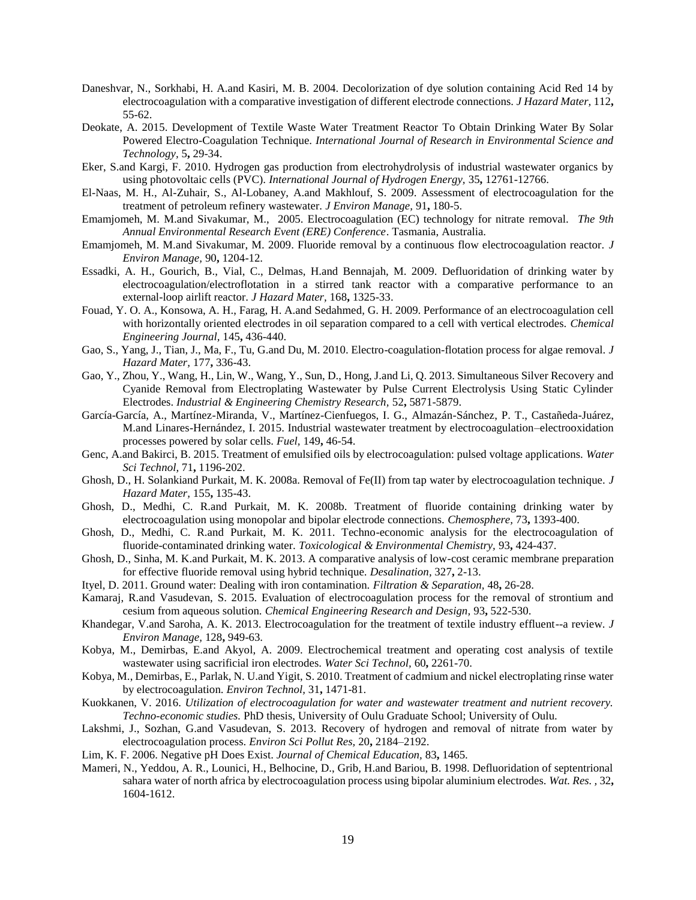- Daneshvar, N., Sorkhabi, H. A.and Kasiri, M. B. 2004. Decolorization of dye solution containing Acid Red 14 by electrocoagulation with a comparative investigation of different electrode connections. *J Hazard Mater,* 112**,** 55-62.
- Deokate, A. 2015. Development of Textile Waste Water Treatment Reactor To Obtain Drinking Water By Solar Powered Electro-Coagulation Technique. *International Journal of Research in Environmental Science and Technology,* 5**,** 29-34.
- Eker, S.and Kargi, F. 2010. Hydrogen gas production from electrohydrolysis of industrial wastewater organics by using photovoltaic cells (PVC). *International Journal of Hydrogen Energy,* 35**,** 12761-12766.
- El-Naas, M. H., Al-Zuhair, S., Al-Lobaney, A.and Makhlouf, S. 2009. Assessment of electrocoagulation for the treatment of petroleum refinery wastewater. *J Environ Manage,* 91**,** 180-5.
- Emamjomeh, M. M.and Sivakumar, M., 2005. Electrocoagulation (EC) technology for nitrate removal. *The 9th Annual Environmental Research Event (ERE) Conference*. Tasmania, Australia.
- Emamjomeh, M. M.and Sivakumar, M. 2009. Fluoride removal by a continuous flow electrocoagulation reactor. *J Environ Manage,* 90**,** 1204-12.
- Essadki, A. H., Gourich, B., Vial, C., Delmas, H.and Bennajah, M. 2009. Defluoridation of drinking water by electrocoagulation/electroflotation in a stirred tank reactor with a comparative performance to an external-loop airlift reactor. *J Hazard Mater,* 168**,** 1325-33.
- Fouad, Y. O. A., Konsowa, A. H., Farag, H. A.and Sedahmed, G. H. 2009. Performance of an electrocoagulation cell with horizontally oriented electrodes in oil separation compared to a cell with vertical electrodes. *Chemical Engineering Journal,* 145**,** 436-440.
- Gao, S., Yang, J., Tian, J., Ma, F., Tu, G.and Du, M. 2010. Electro-coagulation-flotation process for algae removal. *J Hazard Mater,* 177**,** 336-43.
- Gao, Y., Zhou, Y., Wang, H., Lin, W., Wang, Y., Sun, D., Hong, J.and Li, Q. 2013. Simultaneous Silver Recovery and Cyanide Removal from Electroplating Wastewater by Pulse Current Electrolysis Using Static Cylinder Electrodes. *Industrial & Engineering Chemistry Research,* 52**,** 5871-5879.
- García-García, A., Martínez-Miranda, V., Martínez-Cienfuegos, I. G., Almazán-Sánchez, P. T., Castañeda-Juárez, M.and Linares-Hernández, I. 2015. Industrial wastewater treatment by electrocoagulation–electrooxidation processes powered by solar cells. *Fuel,* 149**,** 46-54.
- Genc, A.and Bakirci, B. 2015. Treatment of emulsified oils by electrocoagulation: pulsed voltage applications. *Water Sci Technol,* 71**,** 1196-202.
- Ghosh, D., H. Solankiand Purkait, M. K. 2008a. Removal of Fe(II) from tap water by electrocoagulation technique. *J Hazard Mater,* 155**,** 135-43.
- Ghosh, D., Medhi, C. R.and Purkait, M. K. 2008b. Treatment of fluoride containing drinking water by electrocoagulation using monopolar and bipolar electrode connections. *Chemosphere,* 73**,** 1393-400.
- Ghosh, D., Medhi, C. R.and Purkait, M. K. 2011. Techno-economic analysis for the electrocoagulation of fluoride-contaminated drinking water. *Toxicological & Environmental Chemistry,* 93**,** 424-437.
- Ghosh, D., Sinha, M. K.and Purkait, M. K. 2013. A comparative analysis of low-cost ceramic membrane preparation for effective fluoride removal using hybrid technique. *Desalination,* 327**,** 2-13.
- Ityel, D. 2011. Ground water: Dealing with iron contamination. *Filtration & Separation,* 48**,** 26-28.
- Kamaraj, R.and Vasudevan, S. 2015. Evaluation of electrocoagulation process for the removal of strontium and cesium from aqueous solution. *Chemical Engineering Research and Design,* 93**,** 522-530.
- Khandegar, V.and Saroha, A. K. 2013. Electrocoagulation for the treatment of textile industry effluent--a review. *J Environ Manage,* 128**,** 949-63.
- Kobya, M., Demirbas, E.and Akyol, A. 2009. Electrochemical treatment and operating cost analysis of textile wastewater using sacrificial iron electrodes. *Water Sci Technol,* 60**,** 2261-70.
- Kobya, M., Demirbas, E., Parlak, N. U.and Yigit, S. 2010. Treatment of cadmium and nickel electroplating rinse water by electrocoagulation. *Environ Technol,* 31**,** 1471-81.
- Kuokkanen, V. 2016. *Utilization of electrocoagulation for water and wastewater treatment and nutrient recovery. Techno-economic studies.* PhD thesis, University of Oulu Graduate School; University of Oulu.
- Lakshmi, J., Sozhan, G.and Vasudevan, S. 2013. Recovery of hydrogen and removal of nitrate from water by electrocoagulation process. *Environ Sci Pollut Res,* 20**,** 2184–2192.
- Lim, K. F. 2006. Negative pH Does Exist. *Journal of Chemical Education,* 83**,** 1465.
- Mameri, N., Yeddou, A. R., Lounici, H., Belhocine, D., Grib, H.and Bariou, B. 1998. Defluoridation of septentrional sahara water of north africa by electrocoagulation process using bipolar aluminium electrodes. *Wat. Res. ,* 32**,** 1604-1612.